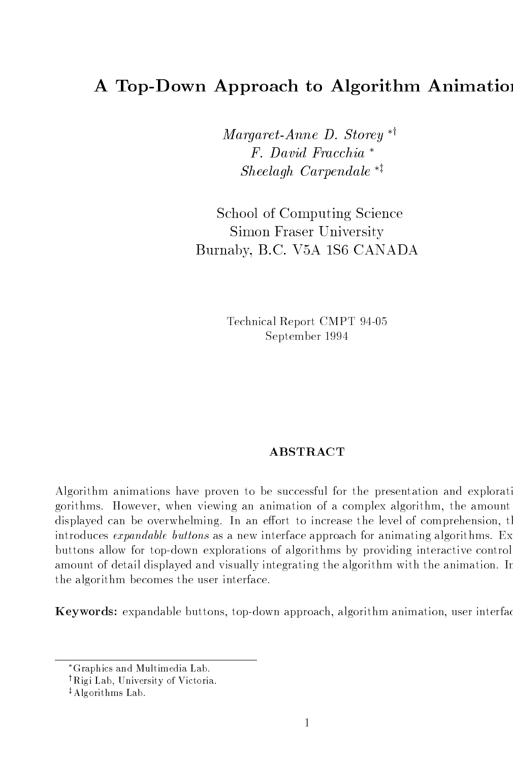# A Top-Down Approach to Algorithm Animation

 $Margaret-Anne$  D. Storey  $*^{\dagger}$  $F.$  David Fracchia<sup>\*</sup>  $Sheel agh-Carpenda le$ <sup>\*\*</sup>

School of Computing Science Simon Fraser University Burnaby BC V-A S CANADA

> Technical Report CMPT - Technical Report CMPT - Technical Report CMPT - Technical Report CMPT - Technical Repor September

### **ABSTRACT**

Algorithm animations have proven to be successful for the presentation and explorati gorithms. However, when viewing an animation of a complex algorithm, the amount displayed can be overwhelming. In an effort to increase the level of comprehension, the introduces  $\epsilon x$  *pandable buttons* as a new interface approach for animating algorithms. Ex buttons allow for top-down explorations of algorithms by providing interactive control amount of detail displayed and visually integrating the algorithm with the animation In the algorithm becomes the user interface

Keywords expandable buttons top-down approach algorithm animation user interfac

Graphics and Multimedia Lab

<sup>&</sup>lt;sup>†</sup>Rigi Lab, University of Victoria.

<sup>&</sup>lt;sup>‡</sup>Algorithms Lab.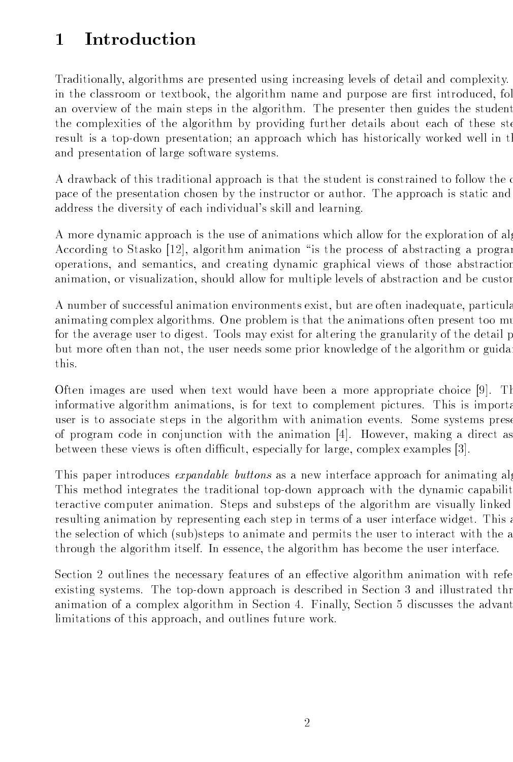### Introduction  $\mathbf{1}$

Traditionally, algorithms are presented using increasing levels of detail and complexity. in the classroom or textbook, the algorithm name and purpose are first introduced, fol an overview of the main steps in the algorithm. The presenter then guides the student the complexities of the algorithm by providing further details about each of these ste result is a top-down presentation an approach which has historically worked well in th and presentation of large software systems

A drawback of this traditional approach is that the student is constrained to follow the or pace of the presentation chosen by the instructor or author The approach is static and address the diversity of each individual's skill and learning.

A more dynamic approach is the use of animations which allow for the exploration of alg According to Stasko [12], algorithm animation "is the process of abstracting a program operations and semantics and creating dynamic graphical views of those abstraction animation, or visualization, should allow for multiple levels of abstraction and be custor

A number of successful animation environments exist, but are often inadequate, particular animating complex algorithms. One problem is that the animations often present too mu for the average user to digest. Tools may exist for altering the granularity of the detail p but more often than not, the user needs some prior knowledge of the algorithm or guidant this

Often images are used when text would have been a more appropriate choice  $[9]$ . Then informative algorithm animations, is for text to complement pictures. This is important user is to associate steps in the algorithm with animation events. Some systems prese of program code in conjunction with the animation  $[4]$ . However, making a direct as between these views is often difficult, especially for large, complex examples  $[3]$ .

This paper introduces *expandable buttons* as a new interface approach for animating alg This method integrates the traditional top-down approach with the dynamic capabilit teractive computer animation. Steps and substeps of the algorithm are visually linked resulting animation by representing each step in terms of a user interface widget. This a the selection of which (sub)steps to animate and permits the user to interact with the a through the algorithm itself. In essence, the algorithm has become the user interface.

Section 2 outlines the necessary features of an effective algorithm animation with refe existing systems The top-down approach is described in Section and illustrated thr animation of a complex algorithm in Section 4. Finally, Section 5 discusses the advant limitations of this approach, and outlines future work.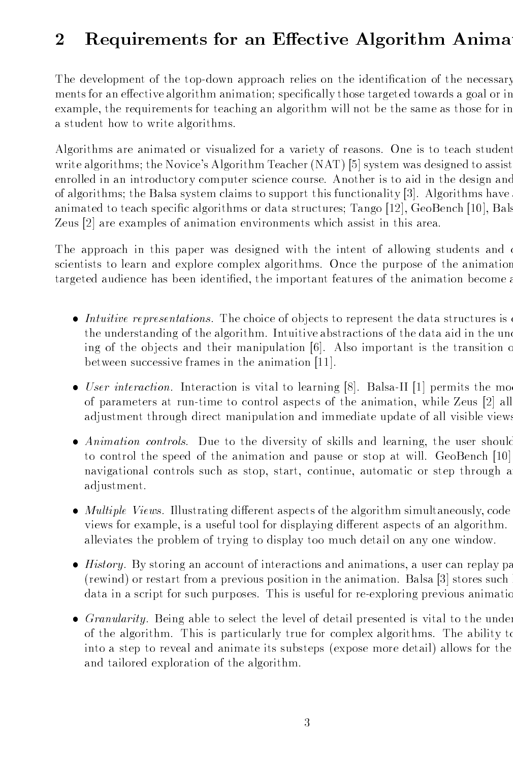#### $\overline{2}$ Requirements for an Effective Algorithm Anima

The development of the top-down approach relies on the identi cation of the necessary ments for an election and  $\mathbf{r}$  those targeted towards a goal or in the species or in the species or in the species or in the species of  $\mathbf{r}$ example, the requirements for teaching an algorithm will not be the same as those for in a student how to write algorithms

Algorithms are animated or visualized for a variety of reasons One is to teach student write algorithm  $\mathcal{N}$  . The Novices Algorithm Teacher NAT  $\mathcal{N}$  assisted to assiste assisted to assisted to assisted to assisted to assisted to assiste assisted to assiste assisted to assisted to assiste assisted to enrolled in an introductory computer science course. Another is to aid in the design and of algorithms to support the Balsa system claims to support the Balsa system  $\mathcal{A}$ animated to teach specific algorithms or data structures  $\mathcal{B}$  and  $\mathcal{B}$  are defined to the structures of  $\mathcal{B}$ Zeus  $[2]$  are examples of animation environments which assist in this area.

The approach in this paper was designed with the intent of allowing students and c scientists to learn and explore complex algorithms. Once the purpose of the animation targeted audience has been identified, the important features of the animation become a

- Intuitive representations. The choice of objects to represent the data structures is the understanding of the algorithm. Intuitive abstractions of the data aid in the under ing of the objects and their manipulation  $|6|$ . Also important is the transition of between successive frames in the animation [11].
- User interaction Interaction is vital to interacting part in the permits that the model of parameters at run-time to control aspects of the animation while Zeus 
all adjustment through direct manipulation and immediate update of all visible views
- Animation controls. Due to the diversity of skills and learning, the user should to control the speed of the animation and pause or stop at will. GeoBench [10] navigational controls such as stop, start, continue, automatic or step through a adjustment
- $\bullet$  *Multiple Views.* Illustrating different aspects of the algorithm simultaneously, code views for example, is a useful tool for displaying different aspects of an algorithm. alleviates the problem of trying to display too much detail on any one window
- $\bullet$  History. By storing an account of interactions and animations, a user can replay pa (rewind) or restart from a previous position in the animation. Balsa  $\lceil 3 \rceil$  stores such data in a script for such purposes This is useful for re-exploring previous animatio
- $\bullet$  *Granularity.* Being able to select the level of detail presented is vital to the under of the algorithm. This is particularly true for complex algorithms. The ability to into a step to reveal and animate its substeps (expose more detail) allows for the and tailored exploration of the algorithm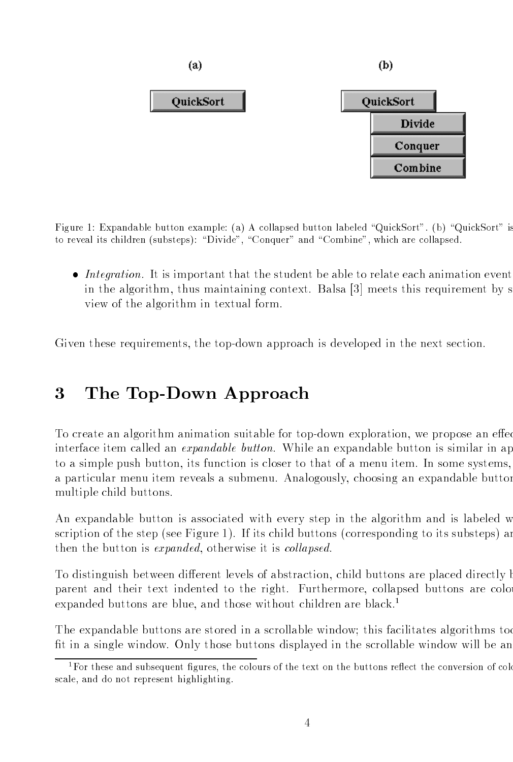

Figure - Expandable button example a A collapsed button labeled QuickSort b QuickSort is to reveal its children (substeps): "Divide", "Conquer" and "Combine", which are collapsed.

 $\bullet$  Integration. It is important that the student be able to relate each animation event in the algorithm, thus maintaining context. Balsa  $[3]$  meets this requirement by s view of the algorithm in textual form

Given these requirements the top-down approach is developed in the next section

#### 3 The Top-Down Approach

To create an algorithm animation suitable for top-down exploration we propose an eec interface item called an *expandable button*. While an expandable button is similar in ap to a simple push button, its function is closer to that of a menu item. In some systems, a particular menu item reveals a submenu Analogously choosing an expandable button multiple child buttons

An expandable button is associated with every step in the algorithm and is labeled w scription of the step (see Figure 1). If its child buttons (corresponding to its substeps) are then the button is *expanded*, otherwise it is *collapsed*.

To distinguish between different levels of abstraction, child buttons are placed directly but parent and their text indented to the right. Furthermore, collapsed buttons are colo expanded buttons are blue, and those without children are black.<sup>1</sup>

The expandable buttons are stored in a scrollable windows are stored in a scrollable windows too scrollable windows too scrollable windows too scrollable windows too scrollable windows too scrollable windows too scrollabl fit in a single window. Only those buttons displayed in the scrollable window will be an

<sup>&</sup>lt;sup>1</sup>For these and subsequent figures, the colours of the text on the buttons reflect the conversion of colo scale, and do not represent highlighting.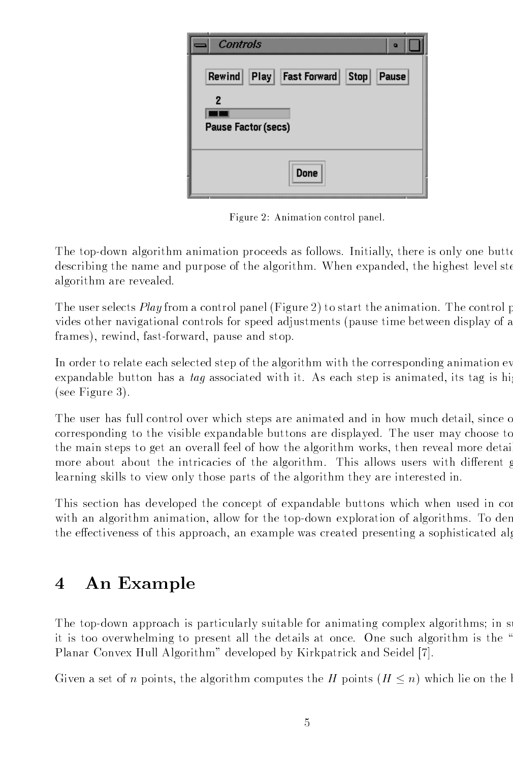| <br>Controls<br>D                                      |
|--------------------------------------------------------|
| Rewind Play Fast Forward<br>$ \textsf{Stop} $<br>Pause |
|                                                        |
| Pause Factor (secs)                                    |
| <b>Done</b>                                            |

Figure Animation control panel

The top-down algorithm animation proceeds as follows Initially there is only one butto describing the name and purpose of the algorithm. When expanded, the highest level ste algorithm are revealed

The user selects *Play* from a control panel (Figure 2) to start the animation. The control p vides other navigational controls for speed adjustments (pause time between display of a frames rewind fast-forward pause and stop

In order to relate each selected step of the algorithm with the corresponding animation ev expandable button has a tag associated with it. As each step is animated, its tag is higher  $(see Figure 3).$ 

The user has full control over which steps are animated and in how much detail, since o corresponding to the visible expandable buttons are displayed. The user may choose to the main steps to get an overall feel of how the algorithm works, then reveal more detain more about about the intricacies of the algorithm. This allows users with different  $\beta$ learning skills to view only those parts of the algorithm they are interested in

This section has developed the concept of expandable buttons which when used in con with an algorithm animation allow for the top-down exploration of algorithms To dem the effectiveness of this approach, an example was created presenting a sophisticated alg

#### An Example 4

the top-commute spectrum is particularly suitable for animating complexed algorithments are a it is too overwhelming to present all the details at once One such algorithm is the Planar Convex Hull Algorithm" developed by Kirkpatrick and Seidel [7].

Given a set of n points, the algorithm computes the H points  $(H \leq n)$  which lie on the b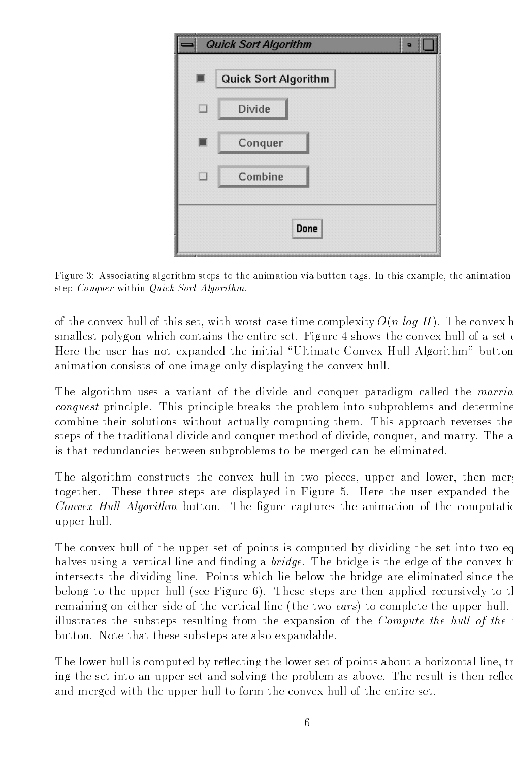

Figure 3: Associating algorithm steps to the animation via button tags. In this example, the animation step Conquer within Quick Sort Algorithm.

of the convex hull of this set, with worst case time complexity  $O(n \log H)$ . The convex holds smallest polygon which contains the entire set. Figure 4 shows the convex hull of a set Here the user has not expanded the initial "Ultimate Convex Hull Algorithm" button animation consists of one image only displaying the convex hull

The algorithm uses a variant of the divide and conquer paradigm called the marria conquest principle. This principle breaks the problem into subproblems and determine combine their solutions without actually computing them. This approach reverses the steps of the traditional divide and conquer method of divide, conquer, and marry. The a is that redundancies between subproblems to be merged can be eliminated

The algorithm constructs the convex hull in two pieces, upper and lower, then mergertogether. These three steps are displayed in Figure 5. Here the user expanded the Convex Hull Algorithm button. The figure captures the animation of the computation upper hull

The convex hull of the upper set of points is computed by dividing the set into two eq halves using a vertical line and finding a *bridge*. The bridge is the edge of the convex h intersects the dividing line Points which lie below the bridge are eliminated since the belong to the upper hull (see Figure 6). These steps are then applied recursively to the remaining on either side of the vertical line (the two *ears*) to complete the upper hull. illustrates the substeps resulting from the expansion of the *Compute the hull of the* button. Note that these substeps are also expandable.

The lower hull is computed by reflecting the lower set of points about a horizontal line, tr ing the set into an upper set and solving the problem as above. The result is then reflee and merged with the upper hull to form the convex hull of the entire set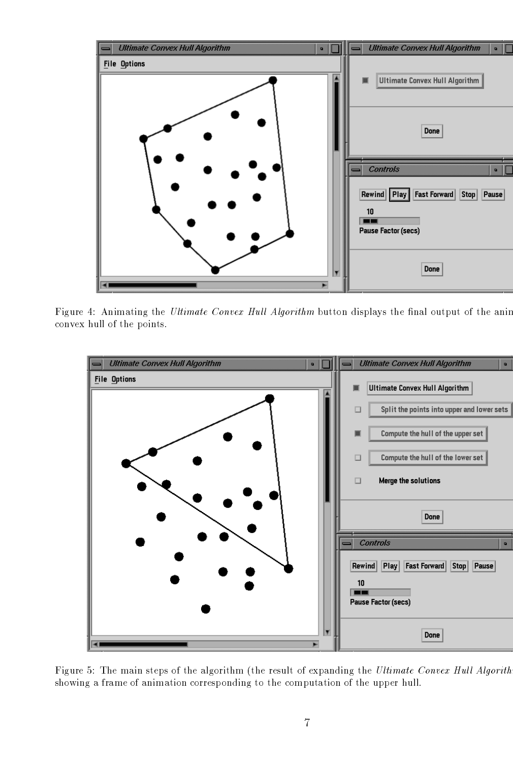

Figure 4: Animating the Ultimate Convex Hull Algorithm button displays the final output of the anim convex hull of the points



Figure 5: The main steps of the algorithm (the result of expanding the Ultimate Convex Hull Algorith showing a frame of animation corresponding to the computation of the upper hull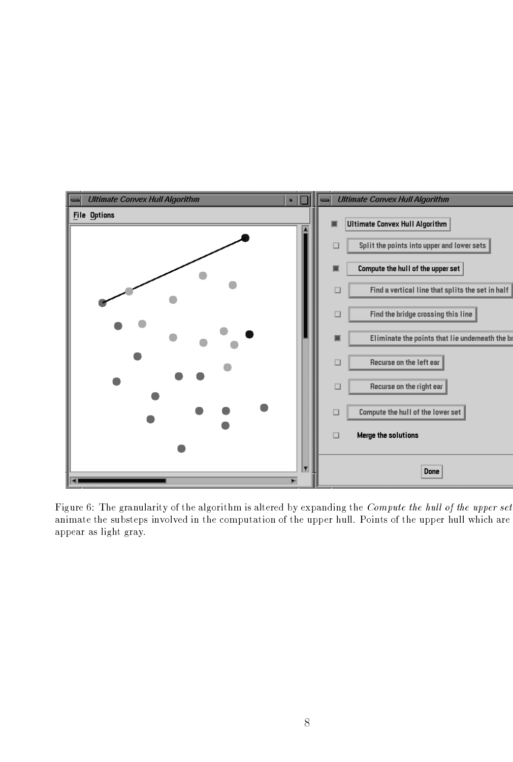

Figure 6: The granularity of the algorithm is altered by expanding the Compute the hull of the upper set animate the substeps involved in the computation of the upper hull Points of the upper hull which are appear as light gray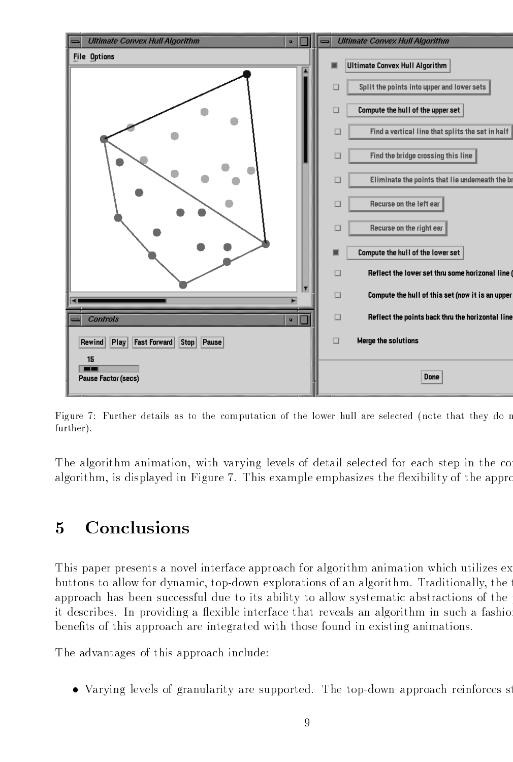

Figure 7: Further details as to the computation of the lower hull are selected (note that they do not further).

The algorithm animation, with varying levels of detail selected for each step in the co algorithm, is displayed in Figure 7. This example emphasizes the flexibility of the appro

#### Conclusions  $\overline{5}$

This paper presents a novel interface approach for algorithm animation which utilizes ex buttons to allow for dynamic top-down explorations of an algorithm Traditionally the t approach has been successful due to its ability to allow systematic abstractions of the p it describes. In providing a flexible interface that reveals an algorithm in such a fashio benefits of this approach are integrated with those found in existing animations.

The advantages of this approach include

Varying levels of granularity are supported The top-down approach reinforces st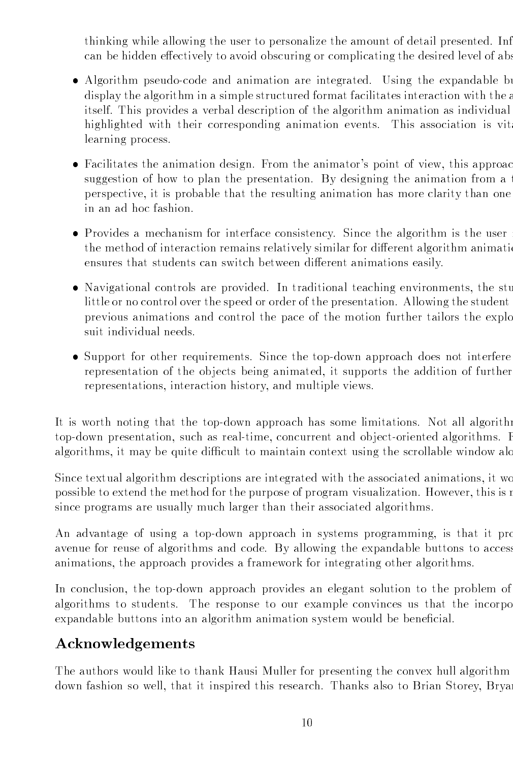thinking while allowing the user to personalize the amount of detail presented. Inf can be hidden effectively to avoid obscuring or complicating the desired level of abs

- Algorithm pseudo-code and animation are integrated Using the expandable bu display the algorithm in a simple structured format facilitates interaction with the a itself. This provides a verbal description of the algorithm animation as individual highlighted with their corresponding animation events. This association is vit learning process
- Facilitates the animation design. From the animator's point of view, this approac suggestion of how to plan the presentation. By designing the animation from a perspective it is probable that the resulting animation has more clarity than one in an ad hoc fashion
- Provides a mechanism for interface consistency. Since the algorithm is the user the method of interaction remains relatively similar for different algorithm animation ensures that students can switch between different animations easily.
- Navigational controls are provided. In traditional teaching environments, the stu little or no control over the speed or order of the presentation Allowing the student previous animations and control the pace of the motion further tailors the explo suit individual needs
- Support for other requirements Since the top-down approach does not interfere representation of the objects being animated, it supports the addition of further representations, interaction history, and multiple views.

It is worth noting that the top-down approach has some limitations Not all algorithm top-down presentation such as real-time concurrent and ob ject-oriented algorithms F algorithms, it may be quite difficult to maintain context using the scrollable window alo

Since textual algorithm descriptions are integrated with the associated animations it wo possible to extend the method for the purpose of program visualization. However, this is not since programs are usually much larger than their associated algorithms

An advantage of using a top-down approach in systems programming is that it pro avenue for reuse of algorithms and code. By allowing the expandable buttons to access animations, the approach provides a framework for integrating other algorithms.

In conclusion the top-down approach provides an elegant solution to the problem of algorithms to students. The response to our example convinces us that the incorpo expandable buttons into an algorithm animation system would be beneficial.

## Acknowledgements

The authors would like to thank Hausi Muller for presenting the convex hull algorithm down fashion so well, that it inspired this research. Thanks also to Brian Storey, Bryan